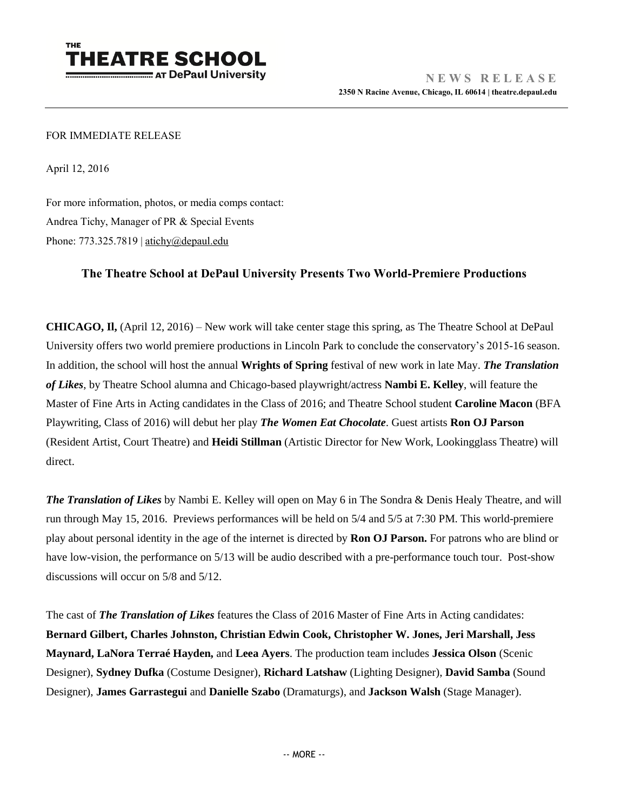

## FOR IMMEDIATE RELEASE

April 12, 2016

For more information, photos, or media comps contact: Andrea Tichy, Manager of PR & Special Events Phone:  $773.325.7819$  | [atichy@depaul.edu](mailto:atichy@depaul.edu)

## **The Theatre School at DePaul University Presents Two World-Premiere Productions**

**CHICAGO, Il,** (April 12, 2016) – New work will take center stage this spring, as The Theatre School at DePaul University offers two world premiere productions in Lincoln Park to conclude the conservatory's 2015-16 season. In addition, the school will host the annual **Wrights of Spring** festival of new work in late May. *The Translation of Likes*, by Theatre School alumna and Chicago-based playwright/actress **Nambi E. Kelley**, will feature the Master of Fine Arts in Acting candidates in the Class of 2016; and Theatre School student **Caroline Macon** (BFA Playwriting, Class of 2016) will debut her play *The Women Eat Chocolate*. Guest artists **Ron OJ Parson** (Resident Artist, Court Theatre) and **Heidi Stillman** (Artistic Director for New Work, Lookingglass Theatre) will direct.

*The Translation of Likes* by Nambi E. Kelley will open on May 6 in The Sondra & Denis Healy Theatre, and will run through May 15, 2016. Previews performances will be held on 5/4 and 5/5 at 7:30 PM. This world-premiere play about personal identity in the age of the internet is directed by **Ron OJ Parson.** For patrons who are blind or have low-vision, the performance on 5/13 will be audio described with a pre-performance touch tour. Post-show discussions will occur on 5/8 and 5/12.

The cast of *The Translation of Likes* features the Class of 2016 Master of Fine Arts in Acting candidates: **Bernard Gilbert, Charles Johnston, Christian Edwin Cook, Christopher W. Jones, Jeri Marshall, Jess Maynard, LaNora Terraé Hayden,** and **Leea Ayers**. The production team includes **Jessica Olson** (Scenic Designer), **Sydney Dufka** (Costume Designer), **Richard Latshaw** (Lighting Designer), **David Samba** (Sound Designer), **James Garrastegui** and **Danielle Szabo** (Dramaturgs), and **Jackson Walsh** (Stage Manager).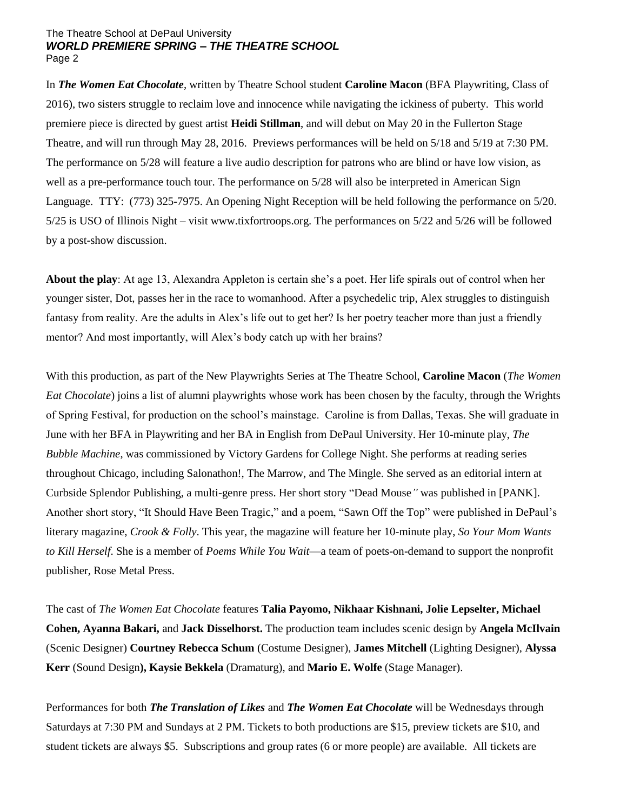## The Theatre School at DePaul University *WORLD PREMIERE SPRING – THE THEATRE SCHOOL* Page 2

In *The Women Eat Chocolate*, written by Theatre School student **Caroline Macon** (BFA Playwriting, Class of 2016), two sisters struggle to reclaim love and innocence while navigating the ickiness of puberty. This world premiere piece is directed by guest artist **Heidi Stillman**, and will debut on May 20 in the Fullerton Stage Theatre, and will run through May 28, 2016. Previews performances will be held on 5/18 and 5/19 at 7:30 PM. The performance on 5/28 will feature a live audio description for patrons who are blind or have low vision, as well as a pre-performance touch tour. The performance on 5/28 will also be interpreted in American Sign Language. TTY: (773) 325-7975. An Opening Night Reception will be held following the performance on 5/20. 5/25 is USO of Illinois Night – visit www.tixfortroops.org. The performances on 5/22 and 5/26 will be followed by a post-show discussion.

**About the play**: At age 13, Alexandra Appleton is certain she's a poet. Her life spirals out of control when her younger sister, Dot, passes her in the race to womanhood. After a psychedelic trip, Alex struggles to distinguish fantasy from reality. Are the adults in Alex's life out to get her? Is her poetry teacher more than just a friendly mentor? And most importantly, will Alex's body catch up with her brains?

With this production, as part of the New Playwrights Series at The Theatre School, **Caroline Macon** (*The Women Eat Chocolate*) joins a list of alumni playwrights whose work has been chosen by the faculty, through the Wrights of Spring Festival, for production on the school's mainstage. Caroline is from Dallas, Texas. She will graduate in June with her BFA in Playwriting and her BA in English from DePaul University. Her 10-minute play, *The Bubble Machine*, was commissioned by Victory Gardens for College Night. She performs at reading series throughout Chicago, including Salonathon!, The Marrow, and The Mingle. She served as an editorial intern at Curbside Splendor Publishing, a multi-genre press. Her short story "Dead Mouse*"* was published in [PANK]. Another short story, "It Should Have Been Tragic," and a poem, "Sawn Off the Top" were published in DePaul's literary magazine, *Crook & Folly*. This year, the magazine will feature her 10-minute play, *So Your Mom Wants to Kill Herself*. She is a member of *Poems While You Wait*—a team of poets-on-demand to support the nonprofit publisher, Rose Metal Press.

The cast of *The Women Eat Chocolate* features **Talia Payomo, Nikhaar Kishnani, Jolie Lepselter, Michael Cohen, Ayanna Bakari,** and **Jack Disselhorst.** The production team includes scenic design by **Angela McIlvain** (Scenic Designer) **Courtney Rebecca Schum** (Costume Designer), **James Mitchell** (Lighting Designer), **Alyssa Kerr** (Sound Design**), Kaysie Bekkela** (Dramaturg), and **Mario E. Wolfe** (Stage Manager).

Performances for both *The Translation of Likes* and *The Women Eat Chocolate* will be Wednesdays through Saturdays at 7:30 PM and Sundays at 2 PM. Tickets to both productions are \$15, preview tickets are \$10, and student tickets are always \$5. Subscriptions and group rates (6 or more people) are available. All tickets are